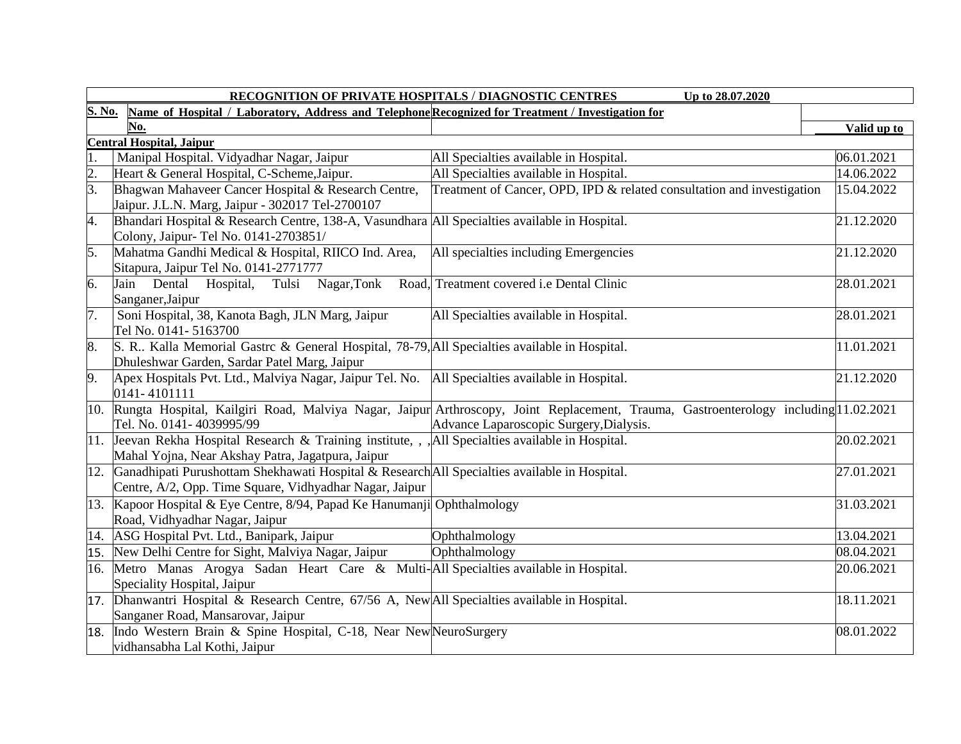|                  | RECOGNITION OF PRIVATE HOSPITALS / DIAGNOSTIC CENTRES<br>Up to 28.07.2020                                                                                  |                                                                                                                                                                                    |             |  |  |  |
|------------------|------------------------------------------------------------------------------------------------------------------------------------------------------------|------------------------------------------------------------------------------------------------------------------------------------------------------------------------------------|-------------|--|--|--|
| S. No.           | Name of Hospital / Laboratory, Address and Telephone Recognized for Treatment / Investigation for                                                          |                                                                                                                                                                                    |             |  |  |  |
|                  | No.                                                                                                                                                        |                                                                                                                                                                                    | Valid up to |  |  |  |
|                  | <b>Central Hospital, Jaipur</b>                                                                                                                            |                                                                                                                                                                                    |             |  |  |  |
|                  | Manipal Hospital. Vidyadhar Nagar, Jaipur                                                                                                                  | All Specialties available in Hospital.                                                                                                                                             | 06.01.2021  |  |  |  |
| $\overline{2}$ . | Heart & General Hospital, C-Scheme, Jaipur.                                                                                                                | All Specialties available in Hospital.                                                                                                                                             | 14.06.2022  |  |  |  |
| $\overline{3}$ . | Bhagwan Mahaveer Cancer Hospital & Research Centre,<br>Jaipur. J.L.N. Marg, Jaipur - 302017 Tel-2700107                                                    | Treatment of Cancer, OPD, IPD & related consultation and investigation                                                                                                             | 15.04.2022  |  |  |  |
| 4.               | Bhandari Hospital & Research Centre, 138-A, Vasundhara All Specialties available in Hospital.<br>Colony, Jaipur- Tel No. 0141-2703851/                     |                                                                                                                                                                                    | 21.12.2020  |  |  |  |
| 5.               | Mahatma Gandhi Medical & Hospital, RIICO Ind. Area,<br>Sitapura, Jaipur Tel No. 0141-2771777                                                               | All specialties including Emergencies                                                                                                                                              | 21.12.2020  |  |  |  |
| 6.               | Tulsi Nagar, Tonk<br>Jain Dental Hospital,<br>Sanganer, Jaipur                                                                                             | Road, Treatment covered i.e Dental Clinic                                                                                                                                          | 28.01.2021  |  |  |  |
| 7.               | Soni Hospital, 38, Kanota Bagh, JLN Marg, Jaipur<br>Tel No. 0141-5163700                                                                                   | All Specialties available in Hospital.                                                                                                                                             | 28.01.2021  |  |  |  |
| 8.               | S. R., Kalla Memorial Gastre & General Hospital, 78-79, All Specialties available in Hospital.<br>Dhuleshwar Garden, Sardar Patel Marg, Jaipur             |                                                                                                                                                                                    | 11.01.2021  |  |  |  |
| 9.               | Apex Hospitals Pvt. Ltd., Malviya Nagar, Jaipur Tel. No.   All Specialties available in Hospital.<br>0141-4101111                                          |                                                                                                                                                                                    | 21.12.2020  |  |  |  |
|                  | Tel. No. 0141-4039995/99                                                                                                                                   | 10. Rungta Hospital, Kailgiri Road, Malviya Nagar, Jaipur Arthroscopy, Joint Replacement, Trauma, Gastroenterology including 11.02.2021<br>Advance Laparoscopic Surgery, Dialysis. |             |  |  |  |
|                  | 11. Jeevan Rekha Hospital Research & Training institute, , , , All Specialties available in Hospital.<br>Mahal Yojna, Near Akshay Patra, Jagatpura, Jaipur |                                                                                                                                                                                    | 20.02.2021  |  |  |  |
| 12.              | Ganadhipati Purushottam Shekhawati Hospital & Research All Specialties available in Hospital.<br>Centre, A/2, Opp. Time Square, Vidhyadhar Nagar, Jaipur   |                                                                                                                                                                                    | 27.01.2021  |  |  |  |
|                  | 13. Kapoor Hospital & Eye Centre, 8/94, Papad Ke Hanumanji Ophthalmology<br>Road, Vidhyadhar Nagar, Jaipur                                                 |                                                                                                                                                                                    | 31.03.2021  |  |  |  |
|                  | 14. ASG Hospital Pvt. Ltd., Banipark, Jaipur                                                                                                               | Ophthalmology                                                                                                                                                                      | 13.04.2021  |  |  |  |
|                  | 15. New Delhi Centre for Sight, Malviya Nagar, Jaipur                                                                                                      | Ophthalmology                                                                                                                                                                      | 08.04.2021  |  |  |  |
|                  | 16. Metro Manas Arogya Sadan Heart Care & Multi-All Specialties available in Hospital.<br>Speciality Hospital, Jaipur                                      |                                                                                                                                                                                    | 20.06.2021  |  |  |  |
|                  | 17. Dhanwantri Hospital & Research Centre, 67/56 A, New All Specialties available in Hospital.<br>Sanganer Road, Mansarovar, Jaipur                        |                                                                                                                                                                                    | 18.11.2021  |  |  |  |
|                  | 18. Indo Western Brain & Spine Hospital, C-18, Near New NeuroSurgery<br>vidhansabha Lal Kothi, Jaipur                                                      |                                                                                                                                                                                    | 08.01.2022  |  |  |  |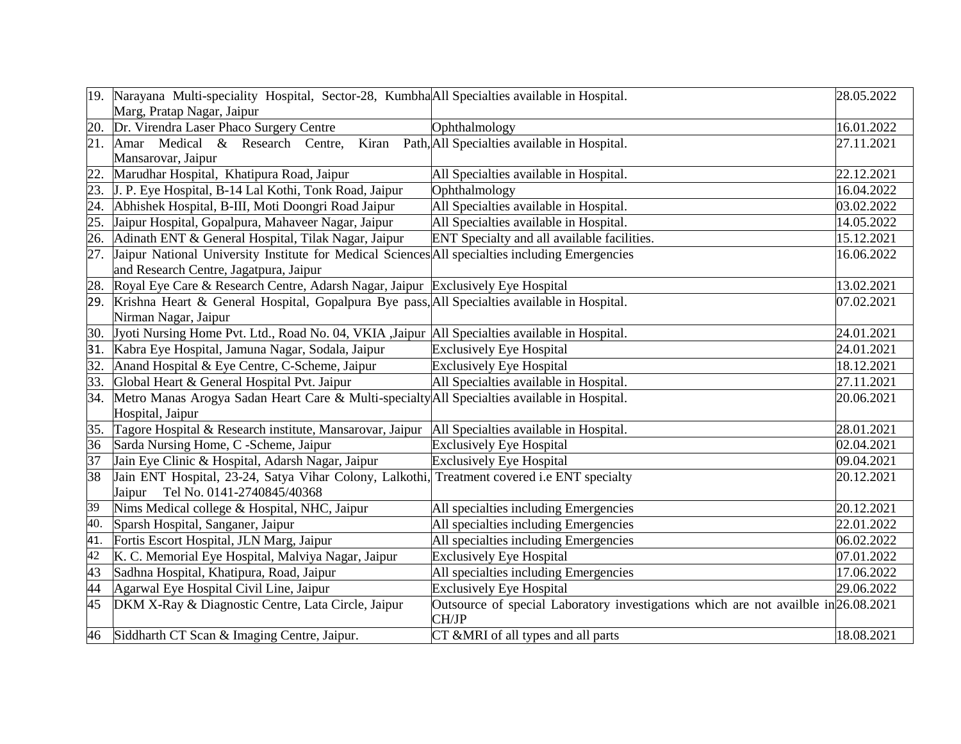|     | 19. Narayana Multi-speciality Hospital, Sector-28, Kumbha All Specialties available in Hospital.   |                                                                                     | 28.05.2022 |
|-----|----------------------------------------------------------------------------------------------------|-------------------------------------------------------------------------------------|------------|
|     | Marg, Pratap Nagar, Jaipur                                                                         |                                                                                     |            |
| 20. | Dr. Virendra Laser Phaco Surgery Centre                                                            | Ophthalmology                                                                       | 16.01.2022 |
| 21. | Amar Medical & Research Centre,<br>Kiran                                                           | Path, All Specialties available in Hospital.                                        | 27.11.2021 |
|     | Mansarovar, Jaipur                                                                                 |                                                                                     |            |
| 22. | Marudhar Hospital, Khatipura Road, Jaipur                                                          | All Specialties available in Hospital.                                              | 22.12.2021 |
| 23. | J. P. Eye Hospital, B-14 Lal Kothi, Tonk Road, Jaipur                                              | Ophthalmology                                                                       | 16.04.2022 |
| 24. | Abhishek Hospital, B-III, Moti Doongri Road Jaipur                                                 | All Specialties available in Hospital.                                              | 03.02.2022 |
| 25. | Jaipur Hospital, Gopalpura, Mahaveer Nagar, Jaipur                                                 | All Specialties available in Hospital.                                              | 14.05.2022 |
| 26. | Adinath ENT & General Hospital, Tilak Nagar, Jaipur                                                | ENT Specialty and all available facilities.                                         | 15.12.2021 |
| 27. | Jaipur National University Institute for Medical Sciences All specialties including Emergencies    |                                                                                     | 16.06.2022 |
|     | and Research Centre, Jagatpura, Jaipur                                                             |                                                                                     |            |
|     | 28. Royal Eye Care & Research Centre, Adarsh Nagar, Jaipur Exclusively Eye Hospital                |                                                                                     | 13.02.2021 |
|     | 29. Krishna Heart & General Hospital, Gopalpura Bye pass, All Specialties available in Hospital.   |                                                                                     | 07.02.2021 |
|     | Nirman Nagar, Jaipur                                                                               |                                                                                     |            |
|     | 30. Vyoti Nursing Home Pvt. Ltd., Road No. 04, VKIA ,Jaipur All Specialties available in Hospital. |                                                                                     | 24.01.2021 |
| 31. | Kabra Eye Hospital, Jamuna Nagar, Sodala, Jaipur                                                   | <b>Exclusively Eye Hospital</b>                                                     | 24.01.2021 |
| 32. | Anand Hospital & Eye Centre, C-Scheme, Jaipur                                                      | <b>Exclusively Eye Hospital</b>                                                     | 18.12.2021 |
| 33. | Global Heart & General Hospital Pvt. Jaipur                                                        | All Specialties available in Hospital.                                              | 27.11.2021 |
| 34. | Metro Manas Arogya Sadan Heart Care & Multi-specialty All Specialties available in Hospital.       |                                                                                     | 20.06.2021 |
|     | Hospital, Jaipur                                                                                   |                                                                                     |            |
|     | 35. Tagore Hospital & Research institute, Mansarovar, Jaipur                                       | All Specialties available in Hospital.                                              | 28.01.2021 |
| 36  | Sarda Nursing Home, C -Scheme, Jaipur                                                              | <b>Exclusively Eye Hospital</b>                                                     | 02.04.2021 |
| 37  | Jain Eye Clinic & Hospital, Adarsh Nagar, Jaipur                                                   | <b>Exclusively Eye Hospital</b>                                                     | 09.04.2021 |
| 38  | Jain ENT Hospital, 23-24, Satya Vihar Colony, Lalkothi, Treatment covered i.e ENT specialty        |                                                                                     | 20.12.2021 |
|     | Jaipur Tel No. 0141-2740845/40368                                                                  |                                                                                     |            |
| 39  | Nims Medical college & Hospital, NHC, Jaipur                                                       | All specialties including Emergencies                                               | 20.12.2021 |
| 40. | Sparsh Hospital, Sanganer, Jaipur                                                                  | All specialties including Emergencies                                               | 22.01.2022 |
| 41. | Fortis Escort Hospital, JLN Marg, Jaipur                                                           | All specialties including Emergencies                                               | 06.02.2022 |
| 42  | K. C. Memorial Eye Hospital, Malviya Nagar, Jaipur                                                 | <b>Exclusively Eye Hospital</b>                                                     | 07.01.2022 |
| 43  | Sadhna Hospital, Khatipura, Road, Jaipur                                                           | All specialties including Emergencies                                               | 17.06.2022 |
| 44  | Agarwal Eye Hospital Civil Line, Jaipur                                                            | <b>Exclusively Eye Hospital</b>                                                     | 29.06.2022 |
| 45  | DKM X-Ray & Diagnostic Centre, Lata Circle, Jaipur                                                 | Outsource of special Laboratory investigations which are not availble in 26.08.2021 |            |
|     |                                                                                                    | CH/JP                                                                               |            |
|     | 46 Siddharth CT Scan & Imaging Centre, Jaipur.                                                     | CT &MRI of all types and all parts                                                  | 18.08.2021 |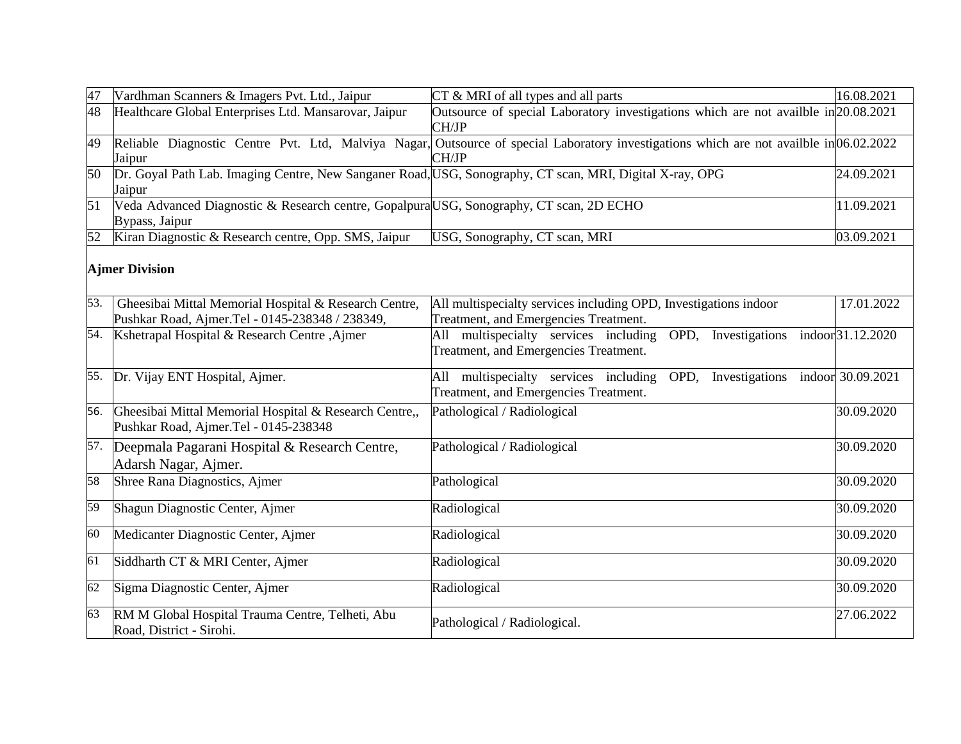| 47  | Vardhman Scanners & Imagers Pvt. Ltd., Jaipur                                                                      | CT & MRI of all types and all parts                                                                       | 16.08.2021        |
|-----|--------------------------------------------------------------------------------------------------------------------|-----------------------------------------------------------------------------------------------------------|-------------------|
| 48  | Healthcare Global Enterprises Ltd. Mansarovar, Jaipur                                                              | Outsource of special Laboratory investigations which are not availble in 20.08.2021<br>CH/JP              |                   |
| 49  | Reliable Diagnostic Centre Pvt. Ltd, Malviya Nagar,<br>Jaipur                                                      | Outsource of special Laboratory investigations which are not availble in 06.02.2022<br>CH/JP              |                   |
| 50  | Dr. Goyal Path Lab. Imaging Centre, New Sanganer Road, USG, Sonography, CT scan, MRI, Digital X-ray, OPG<br>Jaipur |                                                                                                           | 24.09.2021        |
| 51  | Veda Advanced Diagnostic & Research centre, Gopalpura USG, Sonography, CT scan, 2D ECHO<br>Bypass, Jaipur          |                                                                                                           | 11.09.2021        |
| 52  | Kiran Diagnostic & Research centre, Opp. SMS, Jaipur                                                               | USG, Sonography, CT scan, MRI                                                                             | 03.09.2021        |
|     | <b>Ajmer Division</b>                                                                                              |                                                                                                           |                   |
| 53. | Gheesibai Mittal Memorial Hospital & Research Centre,<br>Pushkar Road, Ajmer.Tel - 0145-238348 / 238349,           | All multispecialty services including OPD, Investigations indoor<br>Treatment, and Emergencies Treatment. | 17.01.2022        |
|     | 54. Kshetrapal Hospital & Research Centre, Ajmer                                                                   | All multispecialty services including OPD, Investigations<br>Treatment, and Emergencies Treatment.        | indoor 31.12.2020 |
|     | 55. Dr. Vijay ENT Hospital, Ajmer.                                                                                 | All multispecialty services including<br>OPD, Investigations<br>Treatment, and Emergencies Treatment.     | indoor 30.09.2021 |
| 56. | Gheesibai Mittal Memorial Hospital & Research Centre,,<br>Pushkar Road, Ajmer.Tel - 0145-238348                    | Pathological / Radiological                                                                               | 30.09.2020        |
| 57. | Deepmala Pagarani Hospital & Research Centre,<br>Adarsh Nagar, Ajmer.                                              | Pathological / Radiological                                                                               | 30.09.2020        |
| 58  | Shree Rana Diagnostics, Ajmer                                                                                      | Pathological                                                                                              | 30.09.2020        |
| 59  | Shagun Diagnostic Center, Ajmer                                                                                    | Radiological                                                                                              | 30.09.2020        |
| 60  | Medicanter Diagnostic Center, Ajmer                                                                                | Radiological                                                                                              | 30.09.2020        |
| 61  | Siddharth CT & MRI Center, Ajmer                                                                                   | Radiological                                                                                              | 30.09.2020        |
| 62  | Sigma Diagnostic Center, Ajmer                                                                                     | Radiological                                                                                              | 30.09.2020        |
| 63  | RM M Global Hospital Trauma Centre, Telheti, Abu<br>Road, District - Sirohi.                                       | Pathological / Radiological.                                                                              | 27.06.2022        |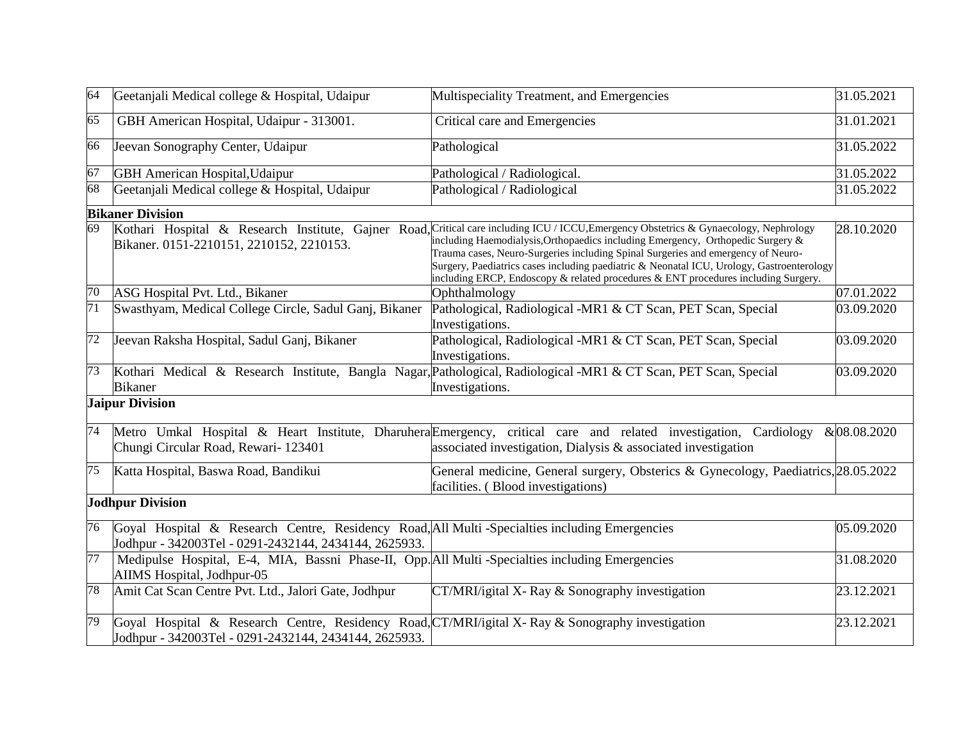| 64              | Geetanjali Medical college & Hospital, Udaipur                                                                                                            | Multispeciality Treatment, and Emergencies                                                                                                                                                                                                                                                                                                                                                                                                                                                       | 31.05.2021   |
|-----------------|-----------------------------------------------------------------------------------------------------------------------------------------------------------|--------------------------------------------------------------------------------------------------------------------------------------------------------------------------------------------------------------------------------------------------------------------------------------------------------------------------------------------------------------------------------------------------------------------------------------------------------------------------------------------------|--------------|
| 65              | GBH American Hospital, Udaipur - 313001.                                                                                                                  | Critical care and Emergencies                                                                                                                                                                                                                                                                                                                                                                                                                                                                    | 31.01.2021   |
| 66              | Jeevan Sonography Center, Udaipur                                                                                                                         | Pathological                                                                                                                                                                                                                                                                                                                                                                                                                                                                                     | 31.05.2022   |
| 67              | <b>GBH</b> American Hospital, Udaipur                                                                                                                     | Pathological / Radiological.                                                                                                                                                                                                                                                                                                                                                                                                                                                                     | 31.05.2022   |
| 68              | Geetanjali Medical college & Hospital, Udaipur                                                                                                            | Pathological / Radiological                                                                                                                                                                                                                                                                                                                                                                                                                                                                      | 31.05.2022   |
|                 | <b>Bikaner Division</b>                                                                                                                                   |                                                                                                                                                                                                                                                                                                                                                                                                                                                                                                  |              |
| 69              | Bikaner. 0151-2210151, 2210152, 2210153.                                                                                                                  | Kothari Hospital & Research Institute, Gajner Road, Critical care including ICU / ICCU, Emergency Obstetrics & Gynaecology, Nephrology<br>including Haemodialysis, Orthopaedics including Emergency, Orthopedic Surgery &<br>Trauma cases, Neuro-Surgeries including Spinal Surgeries and emergency of Neuro-<br>Surgery, Paediatrics cases including paediatric & Neonatal ICU, Urology, Gastroenterology<br>including ERCP, Endoscopy & related procedures & ENT procedures including Surgery. | 28.10.2020   |
| $\overline{70}$ | ASG Hospital Pvt. Ltd., Bikaner                                                                                                                           | Ophthalmology                                                                                                                                                                                                                                                                                                                                                                                                                                                                                    | 07.01.2022   |
| $\overline{71}$ | Swasthyam, Medical College Circle, Sadul Ganj, Bikaner                                                                                                    | Pathological, Radiological -MR1 & CT Scan, PET Scan, Special<br>Investigations.                                                                                                                                                                                                                                                                                                                                                                                                                  | 03.09.2020   |
| $\overline{72}$ | Jeevan Raksha Hospital, Sadul Ganj, Bikaner                                                                                                               | Pathological, Radiological -MR1 & CT Scan, PET Scan, Special<br>Investigations.                                                                                                                                                                                                                                                                                                                                                                                                                  | 03.09.2020   |
| 73              | <b>Bikaner</b>                                                                                                                                            | Kothari Medical & Research Institute, Bangla Nagar, Pathological, Radiological -MR1 & CT Scan, PET Scan, Special<br>Investigations.                                                                                                                                                                                                                                                                                                                                                              | 03.09.2020   |
|                 | <b>Jaipur Division</b>                                                                                                                                    |                                                                                                                                                                                                                                                                                                                                                                                                                                                                                                  |              |
| 74              | Chungi Circular Road, Rewari- 123401                                                                                                                      | Metro Umkal Hospital & Heart Institute, Dharuhera Emergency, critical care and related investigation, Cardiology<br>associated investigation, Dialysis $\&$ associated investigation                                                                                                                                                                                                                                                                                                             | & 08.08.2020 |
| $\overline{75}$ | Katta Hospital, Baswa Road, Bandikui                                                                                                                      | General medicine, General surgery, Obsterics & Gynecology, Paediatrics, 28.05.2022<br>facilities. (Blood investigations)                                                                                                                                                                                                                                                                                                                                                                         |              |
|                 | <b>Jodhpur Division</b>                                                                                                                                   |                                                                                                                                                                                                                                                                                                                                                                                                                                                                                                  |              |
| 76              | Goyal Hospital & Research Centre, Residency Road, All Multi-Specialties including Emergencies<br>Jodhpur - 342003Tel - 0291-2432144, 2434144, 2625933.    |                                                                                                                                                                                                                                                                                                                                                                                                                                                                                                  | 05.09.2020   |
| $\overline{77}$ | Medipulse Hospital, E-4, MIA, Bassni Phase-II, Opp. All Multi-Specialties including Emergencies<br>AIIMS Hospital, Jodhpur-05                             |                                                                                                                                                                                                                                                                                                                                                                                                                                                                                                  | 31.08.2020   |
| 78              | Amit Cat Scan Centre Pvt. Ltd., Jalori Gate, Jodhpur                                                                                                      | CT/MRI/igital X- Ray & Sonography investigation                                                                                                                                                                                                                                                                                                                                                                                                                                                  | 23.12.2021   |
| 79              | Goyal Hospital & Research Centre, Residency Road, CT/MRI/igital X-Ray & Sonography investigation<br>Jodhpur - 342003Tel - 0291-2432144, 2434144, 2625933. |                                                                                                                                                                                                                                                                                                                                                                                                                                                                                                  | 23.12.2021   |